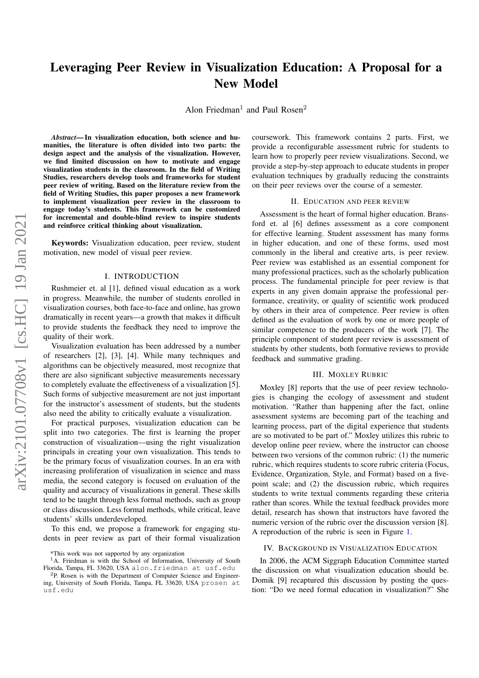# Leveraging Peer Review in Visualization Education: A Proposal for a New Model

Alon Friedman<sup>1</sup> and Paul Rosen<sup>2</sup>

*Abstract*— In visualization education, both science and humanities, the literature is often divided into two parts: the design aspect and the analysis of the visualization. However, we find limited discussion on how to motivate and engage visualization students in the classroom. In the field of Writing Studies, researchers develop tools and frameworks for student peer review of writing. Based on the literature review from the field of Writing Studies, this paper proposes a new framework to implement visualization peer review in the classroom to engage today's students. This framework can be customized for incremental and double-blind review to inspire students and reinforce critical thinking about visualization.

Keywords: Visualization education, peer review, student motivation, new model of visual peer review.

#### I. INTRODUCTION

Rushmeier et. al [1], defined visual education as a work in progress. Meanwhile, the number of students enrolled in visualization courses, both face-to-face and online, has grown dramatically in recent years—a growth that makes it difficult to provide students the feedback they need to improve the quality of their work.

Visualization evaluation has been addressed by a number of researchers [2], [3], [4]. While many techniques and algorithms can be objectively measured, most recognize that there are also significant subjective measurements necessary to completely evaluate the effectiveness of a visualization [5]. Such forms of subjective measurement are not just important for the instructor's assessment of students, but the students also need the ability to critically evaluate a visualization.

For practical purposes, visualization education can be split into two categories. The first is learning the proper construction of visualization—using the right visualization principals in creating your own visualization. This tends to be the primary focus of visualization courses. In an era with increasing proliferation of visualization in science and mass media, the second category is focused on evaluation of the quality and accuracy of visualizations in general. These skills tend to be taught through less formal methods, such as group or class discussion. Less formal methods, while critical, leave students' skills underdeveloped.

To this end, we propose a framework for engaging students in peer review as part of their formal visualization

coursework. This framework contains 2 parts. First, we provide a reconfigurable assessment rubric for students to learn how to properly peer review visualizations. Second, we provide a step-by-step approach to educate students in proper evaluation techniques by gradually reducing the constraints on their peer reviews over the course of a semester.

#### II. EDUCATION AND PEER REVIEW

Assessment is the heart of formal higher education. Bransford et. al [6] defines assessment as a core component for effective learning. Student assessment has many forms in higher education, and one of these forms, used most commonly in the liberal and creative arts, is peer review. Peer review was established as an essential component for many professional practices, such as the scholarly publication process. The fundamental principle for peer review is that experts in any given domain appraise the professional performance, creativity, or quality of scientific work produced by others in their area of competence. Peer review is often defined as the evaluation of work by one or more people of similar competence to the producers of the work [7]. The principle component of student peer review is assessment of students by other students, both formative reviews to provide feedback and summative grading.

## III. MOXLEY RUBRIC

Moxley [8] reports that the use of peer review technologies is changing the ecology of assessment and student motivation. "Rather than happening after the fact, online assessment systems are becoming part of the teaching and learning process, part of the digital experience that students are so motivated to be part of." Moxley utilizes this rubric to develop online peer review, where the instructor can choose between two versions of the common rubric: (1) the numeric rubric, which requires students to score rubric criteria (Focus, Evidence, Organization, Style, and Format) based on a fivepoint scale; and (2) the discussion rubric, which requires students to write textual comments regarding these criteria rather than scores. While the textual feedback provides more detail, research has shown that instructors have favored the numeric version of the rubric over the discussion version [8]. A reproduction of the rubric is seen in Figure [1.](#page-1-0)

#### IV. BACKGROUND IN VISUALIZATION EDUCATION

In 2006, the ACM Siggraph Education Committee started the discussion on what visualization education should be. Domik [9] recaptured this discussion by posting the question: "Do we need formal education in visualization?" She

<sup>\*</sup>This work was not supported by any organization

 $1$ A. Friedman is with the School of Information, University of South Florida, Tampa, FL 33620, USA alon.friedman at usf.edu

<sup>2</sup>P. Rosen is with the Department of Computer Science and Engineering, University of South Florida, Tampa, FL 33620, USA prosen at usf.edu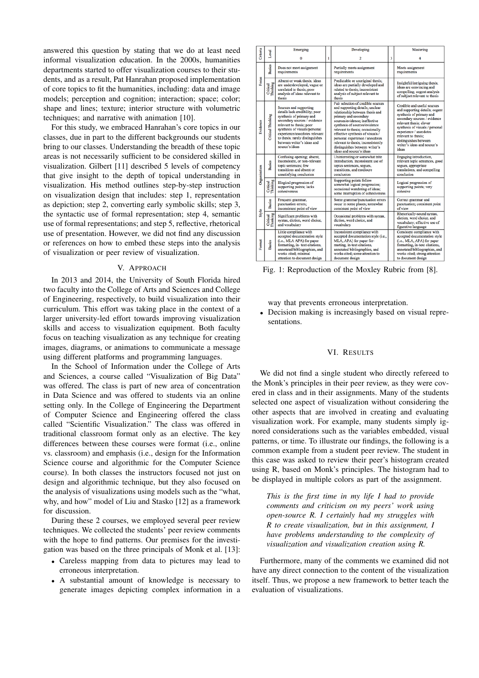answered this question by stating that we do at least need informal visualization education. In the 2000s, humanities departments started to offer visualization courses to their students, and as a result, Pat Hanrahan proposed implementation of core topics to fit the humanities, including: data and image models; perception and cognition; interaction; space; color; shape and lines; texture; interior structure with volumetric techniques; and narrative with animation [10].

For this study, we embraced Hanrahan's core topics in our classes, due in part to the different backgrounds our students bring to our classes. Understanding the breadth of these topic areas is not necessarily sufficient to be considered skilled in visualization. Gilbert [11] described 5 levels of competency that give insight to the depth of topical understanding in visualization. His method outlines step-by-step instruction on visualization design that includes: step 1, representation as depiction; step 2, converting early symbolic skills; step 3, the syntactic use of formal representation; step 4, semantic use of formal representations; and step 5, reflective, rhetorical use of presentation. However, we did not find any discussion or references on how to embed these steps into the analysis of visualization or peer review of visualization.

#### V. APPROACH

In 2013 and 2014, the University of South Florida hired two faculty into the College of Arts and Sciences and College of Engineering, respectively, to build visualization into their curriculum. This effort was taking place in the context of a larger university-led effort towards improving visualization skills and access to visualization equipment. Both faculty focus on teaching visualization as any technique for creating images, diagrams, or animations to communicate a message using different platforms and programming languages.

In the School of Information under the College of Arts and Sciences, a course called "Visualization of Big Data" was offered. The class is part of new area of concentration in Data Science and was offered to students via an online setting only. In the College of Engineering the Department of Computer Science and Engineering offered the class called "Scientific Visualization." The class was offered in traditional classroom format only as an elective. The key differences between these courses were format (i.e., online vs. classroom) and emphasis (i.e., design for the Information Science course and algorithmic for the Computer Science course). In both classes the instructors focused not just on design and algorithmic technique, but they also focused on the analysis of visualizations using models such as the "what, why, and how" model of Liu and Stasko [12] as a framework for discussion.

During these 2 courses, we employed several peer review techniques. We collected the students' peer review comments with the hope to find patterns. Our premises for the investigation was based on the three principals of Monk et al. [13]:

- Careless mapping from data to pictures may lead to erroneous interpretation.
- A substantial amount of knowledge is necessary to generate images depicting complex information in a

<span id="page-1-0"></span>

| Criteria     | Level                    | Emerging                                                                                                                                                                                                                                                                                              |   | Developing                                                                                                                                                                                                                                                                                                                                                                                                         |   | Mastering                                                                                                                                                                                                                                                                                                 |
|--------------|--------------------------|-------------------------------------------------------------------------------------------------------------------------------------------------------------------------------------------------------------------------------------------------------------------------------------------------------|---|--------------------------------------------------------------------------------------------------------------------------------------------------------------------------------------------------------------------------------------------------------------------------------------------------------------------------------------------------------------------------------------------------------------------|---|-----------------------------------------------------------------------------------------------------------------------------------------------------------------------------------------------------------------------------------------------------------------------------------------------------------|
|              |                          | 0                                                                                                                                                                                                                                                                                                     | 1 | $\overline{c}$                                                                                                                                                                                                                                                                                                                                                                                                     | 3 |                                                                                                                                                                                                                                                                                                           |
|              | Basics                   | Does not meet assignment<br>requirements                                                                                                                                                                                                                                                              |   | Partially meets assignment<br>requirements                                                                                                                                                                                                                                                                                                                                                                         |   | Meets assignment<br>requirements                                                                                                                                                                                                                                                                          |
| <b>Focus</b> | Critical<br>Thinking     | Absent or weak thesis; ideas<br>are underdeveloped, vague or<br>unrelated to thesis; poor<br>analysis of ideas relevant to<br>thesis                                                                                                                                                                  |   | Predictable or unoriginal thesis;<br>ideas are partially developed and<br>related to thesis; inconsistent<br>analysis of subject relevant to<br>thesis                                                                                                                                                                                                                                                             |   | Insightful/intriguing thesis:<br>ideas are convincing and<br>compelling; cogent analysis<br>of subject relevant to thesis                                                                                                                                                                                 |
| Evidence     | <b>Critical Thinking</b> | Sources and supporting<br>details lack credibility; poor<br>synthesis of primary and<br>secondary sources / evidence<br>relevant to thesis; poor<br>synthesis of visuals/personal<br>experience/anecdotes relevant<br>to thesis; rarely distinguishes<br>between writer's ideas and<br>source's ideas |   | Fair selection of credible sources<br>and supporting details; unclear<br>relationship between thesis and<br>primary and secondary<br>sources/evidence: ineffective<br>synthesis of sources/evidence<br>relevant to thesis; occasionally<br>effective synthesis of visuals /<br>personal experience / anecdotes<br>relevant to thesis; inconsistently<br>distinguishes between writer's<br>ideas and source's ideas |   | Credible and useful sources<br>and supporting details; cogent<br>synthesis of primary and<br>secondary sources / evidence<br>relevant thesis; clever<br>synthesis of visuals / personal<br>experience / anecdotes<br>relevant to thesis;<br>distinguishes between<br>writer's ideas and source's<br>ideas |
| Organization | Basics                   | Confusing opening; absent,<br>inconsistent, or non-relevant<br>topic sentences: few<br>transitions and absent or<br>unsatisfying conclusion                                                                                                                                                           |   | Uninteresting or somewhat trite<br>introduction, inconsistent use of<br>topics sentences, segues,<br>transitions, and mediocre<br>conclusion                                                                                                                                                                                                                                                                       |   | Engaging introduction,<br>relevant topic sentences, good<br>segues, appropriate<br>translations, and compelling<br>conclusion                                                                                                                                                                             |
|              | Critical<br>Thinking     | Illogical progression of<br>supporting points; lacks<br>cohesiveness                                                                                                                                                                                                                                  |   | Supporting points follow<br>somewhat logical progression;<br>occasional wandering of ideas;<br>some interruption of cohesiveness                                                                                                                                                                                                                                                                                   |   | Logical progression of<br>supporting points; very<br>cohesive                                                                                                                                                                                                                                             |
|              | Basics                   | Frequent grammar,<br>punctuation errors;<br>inconsistent point of view                                                                                                                                                                                                                                |   | Some grammar/punctuation errors<br>occur in some places; somewhat<br>consistent point of view                                                                                                                                                                                                                                                                                                                      |   | Correct grammar and<br>punctuation; consistent point<br>of view                                                                                                                                                                                                                                           |
| Style        | Critical<br>Thinking     | Significant problems with<br>syntax, diction, word choice,<br>and vocabulary                                                                                                                                                                                                                          |   | Occasional problems with syntax,<br>diction, word choice, and<br>vocabulary                                                                                                                                                                                                                                                                                                                                        |   | Rhetorically-sound syntax,<br>diction, word choice, and<br>vocabulary; effective use of<br>figurative language                                                                                                                                                                                            |
| Format       | Basics                   | Little compliance with<br>accepted documentation style<br>(i.e., MLA APA) for paper<br>formatting, in- text citations,<br>annotated bibliographies, and<br>works cited; minimal<br>attention to document design                                                                                       |   | Inconsistent compliance with<br>accepted documentation style (i.e.,<br>MLA, APA) for paper for-<br>matting, in-text citations,<br>annotated bibliographies, and<br>works cited; some attention to<br>document design                                                                                                                                                                                               |   | Consistent compliance with<br>accepted documentation style<br>(i.e., MLA, APA) for paper<br>formatting, in-text citations,<br>annotated bibliographies, and<br>works cited; strong attention<br>to document design                                                                                        |

Fig. 1: Reproduction of the Moxley Rubric from [8].

way that prevents erroneous interpretation.

• Decision making is increasingly based on visual representations.

## VI. RESULTS

We did not find a single student who directly refereed to the Monk's principles in their peer review, as they were covered in class and in their assignments. Many of the students selected one aspect of visualization without considering the other aspects that are involved in creating and evaluating visualization work. For example, many students simply ignored considerations such as the variables embedded, visual patterns, or time. To illustrate our findings, the following is a common example from a student peer review. The student in this case was asked to review their peer's histogram created using R, based on Monk's principles. The histogram had to be displayed in multiple colors as part of the assignment.

*This is the first time in my life I had to provide comments and criticism on my peers' work using open-source R. I certainly had my struggles with R to create visualization, but in this assignment, I have problems understanding to the complexity of visualization and visualization creation using R.*

Furthermore, many of the comments we examined did not have any direct connection to the content of the visualization itself. Thus, we propose a new framework to better teach the evaluation of visualizations.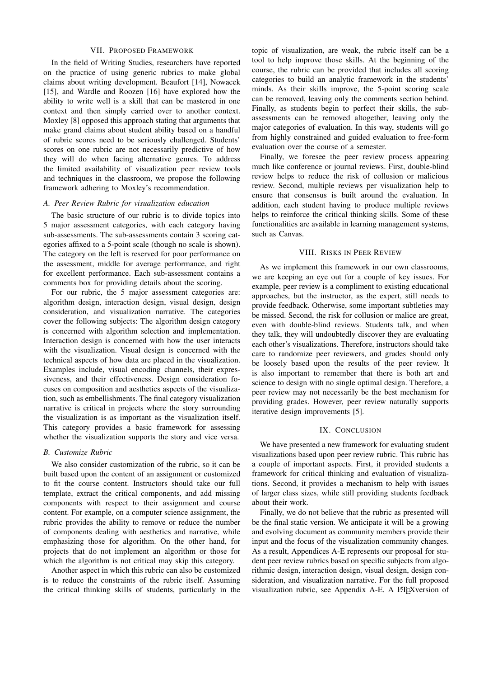## VII. PROPOSED FRAMEWORK

In the field of Writing Studies, researchers have reported on the practice of using generic rubrics to make global claims about writing development. Beaufort [14], Nowacek [15], and Wardle and Roozen [16] have explored how the ability to write well is a skill that can be mastered in one context and then simply carried over to another context. Moxley [8] opposed this approach stating that arguments that make grand claims about student ability based on a handful of rubric scores need to be seriously challenged. Students' scores on one rubric are not necessarily predictive of how they will do when facing alternative genres. To address the limited availability of visualization peer review tools and techniques in the classroom, we propose the following framework adhering to Moxley's recommendation.

## *A. Peer Review Rubric for visualization education*

The basic structure of our rubric is to divide topics into 5 major assessment categories, with each category having sub-assessments. The sub-assessments contain 3 scoring categories affixed to a 5-point scale (though no scale is shown). The category on the left is reserved for poor performance on the assessment, middle for average performance, and right for excellent performance. Each sub-assessment contains a comments box for providing details about the scoring.

For our rubric, the 5 major assessment categories are: algorithm design, interaction design, visual design, design consideration, and visualization narrative. The categories cover the following subjects: The algorithm design category is concerned with algorithm selection and implementation. Interaction design is concerned with how the user interacts with the visualization. Visual design is concerned with the technical aspects of how data are placed in the visualization. Examples include, visual encoding channels, their expressiveness, and their effectiveness. Design consideration focuses on composition and aesthetics aspects of the visualization, such as embellishments. The final category visualization narrative is critical in projects where the story surrounding the visualization is as important as the visualization itself. This category provides a basic framework for assessing whether the visualization supports the story and vice versa.

## *B. Customize Rubric*

We also consider customization of the rubric, so it can be built based upon the content of an assignment or customized to fit the course content. Instructors should take our full template, extract the critical components, and add missing components with respect to their assignment and course content. For example, on a computer science assignment, the rubric provides the ability to remove or reduce the number of components dealing with aesthetics and narrative, while emphasizing those for algorithm. On the other hand, for projects that do not implement an algorithm or those for which the algorithm is not critical may skip this category.

Another aspect in which this rubric can also be customized is to reduce the constraints of the rubric itself. Assuming the critical thinking skills of students, particularly in the

topic of visualization, are weak, the rubric itself can be a tool to help improve those skills. At the beginning of the course, the rubric can be provided that includes all scoring categories to build an analytic framework in the students' minds. As their skills improve, the 5-point scoring scale can be removed, leaving only the comments section behind. Finally, as students begin to perfect their skills, the subassessments can be removed altogether, leaving only the major categories of evaluation. In this way, students will go from highly constrained and guided evaluation to free-form evaluation over the course of a semester.

Finally, we foresee the peer review process appearing much like conference or journal reviews. First, double-blind review helps to reduce the risk of collusion or malicious review. Second, multiple reviews per visualization help to ensure that consensus is built around the evaluation. In addition, each student having to produce multiple reviews helps to reinforce the critical thinking skills. Some of these functionalities are available in learning management systems, such as Canvas.

## VIII. RISKS IN PEER REVIEW

As we implement this framework in our own classrooms, we are keeping an eye out for a couple of key issues. For example, peer review is a compliment to existing educational approaches, but the instructor, as the expert, still needs to provide feedback. Otherwise, some important subtleties may be missed. Second, the risk for collusion or malice are great, even with double-blind reviews. Students talk, and when they talk, they will undoubtedly discover they are evaluating each other's visualizations. Therefore, instructors should take care to randomize peer reviewers, and grades should only be loosely based upon the results of the peer review. It is also important to remember that there is both art and science to design with no single optimal design. Therefore, a peer review may not necessarily be the best mechanism for providing grades. However, peer review naturally supports iterative design improvements [5].

## IX. CONCLUSION

We have presented a new framework for evaluating student visualizations based upon peer review rubric. This rubric has a couple of important aspects. First, it provided students a framework for critical thinking and evaluation of visualizations. Second, it provides a mechanism to help with issues of larger class sizes, while still providing students feedback about their work.

Finally, we do not believe that the rubric as presented will be the final static version. We anticipate it will be a growing and evolving document as community members provide their input and the focus of the visualization community changes. As a result, Appendices A-E represents our proposal for student peer review rubrics based on specific subjects from algorithmic design, interaction design, visual design, design consideration, and visualization narrative. For the full proposed visualization rubric, see Appendix A-E. A LATEXversion of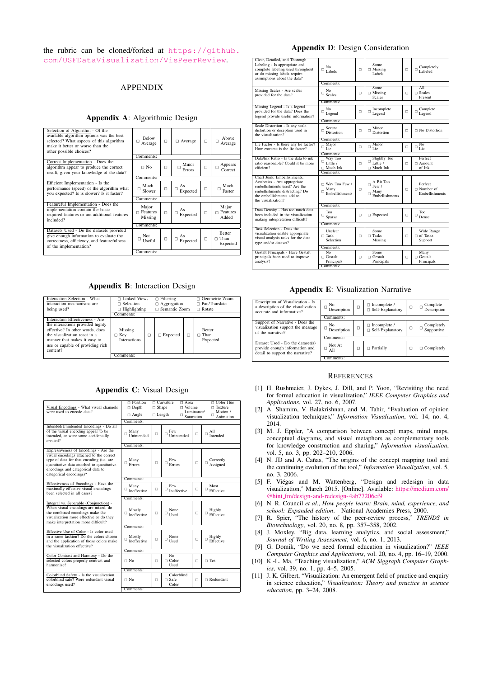the rubric can be cloned/forked at [https://github.](https://github.com/USFDataVisualization/VisPeerReview) [com/USFDataVisualization/VisPeerReview](https://github.com/USFDataVisualization/VisPeerReview).

# APPENDIX

## Appendix A: Algorithmic Design

| Selection of Algorithm - Of the<br>available algorithm options was the best<br>selected? What aspects of this algorithm<br>make it better or worse than the<br>other possible choices? | <b>Below</b><br>п<br>Average        | $\Box$ | □ Average                 | $\Box$ | Above<br>Average                           |
|----------------------------------------------------------------------------------------------------------------------------------------------------------------------------------------|-------------------------------------|--------|---------------------------|--------|--------------------------------------------|
|                                                                                                                                                                                        | Comments:                           |        |                           |        |                                            |
| Correct Implementation - Does the<br>algorithm appear to produce the correct<br>result, given your knowledge of the data?                                                              | $\Box$ No                           | $\Box$ | Minor<br>$\Box$<br>Errors | $\Box$ | Appears<br>$\Box$<br>Correct               |
|                                                                                                                                                                                        | Comments:                           |        |                           |        |                                            |
| Efficient Implementation - Is the<br>performance (speed) of the algorithm what<br>you expected? Is is slower? Is it faster?                                                            | Much<br>$\Box$<br>Slower            | $\Box$ | As<br>□<br>Expected       | $\Box$ | Much<br>Ω<br>Faster                        |
|                                                                                                                                                                                        | Comments:                           |        |                           |        |                                            |
| Featureful Implementation - Does the<br>implementation contain the basic<br>required features or are additional features<br>included?                                                  | Major<br>$\Box$ Features<br>Missing | $\Box$ | As<br>Expected            | $\Box$ | Major<br>$\Box$ Features<br>Added          |
|                                                                                                                                                                                        | Comments:                           |        |                           |        |                                            |
| Datasets Used - Do the datasets provided<br>give enough information to evaluate the<br>correctness, efficiency, and featurefulness<br>of the implementation?                           | Not<br>Useful                       | $\Box$ | As<br>Expected            | $\Box$ | <b>Better</b><br>$\sqcap$ Than<br>Expected |
|                                                                                                                                                                                        | Comments:                           |        |                           |        |                                            |
|                                                                                                                                                                                        |                                     |        |                           |        |                                            |

# Appendix B: Interaction Design

| Interaction Selection - What<br>interaction mechanisms are<br>being used?                                                                                                                                              | $\Box$ Linked Views<br>$\sqcap$ Selection<br>$\Box$ Highlighting |   | $\Box$ Filtering<br>$\Box$ Aggregation<br>$\Box$ Semantic Zoom |  | $\Box$ Geometric Zoom<br>$\Box$ Pan/Translate<br>$\Box$ Rotate |  |  |
|------------------------------------------------------------------------------------------------------------------------------------------------------------------------------------------------------------------------|------------------------------------------------------------------|---|----------------------------------------------------------------|--|----------------------------------------------------------------|--|--|
|                                                                                                                                                                                                                        | Comments:                                                        |   |                                                                |  |                                                                |  |  |
| Interaction Effectiveness - Are<br>the interactions provided highly<br>effective? In other words, does<br>the visualization react in a<br>manner that makes it easy to<br>use or capable of providing rich<br>content? | Missing<br>$\Box$ Key<br><b>Interactions</b>                     | п | $\Box$ Expected                                                |  | <b>Better</b><br>Than<br>Expected                              |  |  |
|                                                                                                                                                                                                                        | Comments:                                                        |   |                                                                |  |                                                                |  |  |

#### Appendix C: Visual Design

| Visual Encodings - What visual channels<br>were used to encode data?                                                                                                                                                                        | $\Box$ Position<br>$\Box$ Depth<br>$\Box$ Angle<br>Comments: | $\Box$ Shape<br>$\Box$ Length | $\Box$ Curvature<br>$\Box$ Area<br>$\sqcap$ Volume<br>Luminance/<br>Ω<br>Saturation |        | $\Box$ Color Hue<br>$\Box$ Texture<br>Motion /<br>□<br>Animation |  |
|---------------------------------------------------------------------------------------------------------------------------------------------------------------------------------------------------------------------------------------------|--------------------------------------------------------------|-------------------------------|-------------------------------------------------------------------------------------|--------|------------------------------------------------------------------|--|
| Intended/Unintended Encodings - Do all<br>of the visual encoding appear to be<br>intended, or were some accidentally<br>created?                                                                                                            | Many<br>Ω<br>Unintended                                      | $\Box$                        | Few<br>Ω<br>Unintended                                                              | $\Box$ | A11<br>$\Box$<br>Intended                                        |  |
|                                                                                                                                                                                                                                             | Comments:                                                    |                               |                                                                                     |        |                                                                  |  |
| Expressiveness of Encodings - Are the<br>visual encodings attached to the correct<br>type of data for that encoding (i.e. are<br>quantitative data attached to quantitative<br>encodings and categorical data to<br>categorical encodings)? | Many<br>Ω<br>Errors                                          | $\Box$                        | Few<br>п<br>Errors                                                                  | о      | Correctly<br>Ω<br>Assigned                                       |  |
|                                                                                                                                                                                                                                             | Comments:                                                    |                               |                                                                                     |        |                                                                  |  |
| Effectiveness of Encodings - Have the<br>maximally effective visual encodings<br>been selected in all cases?                                                                                                                                | Many<br>Ω<br>Ineffective                                     | $\Box$                        | Few<br>□<br>Ineffective                                                             | $\Box$ | Most<br>Ω<br>Effective                                           |  |
| Comments:                                                                                                                                                                                                                                   |                                                              |                               |                                                                                     |        |                                                                  |  |
| Integral vs. Separable (Conjunction) -<br>When visual encodings are mixed, do<br>the combined encodings make the<br>visualization more effective or do they<br>make interpretation more difficult?                                          | Mostly<br>$\Box$<br>Ineffective                              | $\Box$                        | <b>None</b><br>□<br>Used                                                            | Ω      | Highly<br>$\Box$<br>Effective                                    |  |
|                                                                                                                                                                                                                                             | Comments:                                                    |                               |                                                                                     |        |                                                                  |  |
| Effective Use of Color - Is color used<br>in a same fashion? Do the colors chosen<br>and the application of those colors make<br>the visualization effective?                                                                               | Mostly<br>Ω<br>Ineffective                                   | $\Box$                        | None<br>□<br>Used                                                                   | □      | Highly<br>Ω<br>Effective                                         |  |
|                                                                                                                                                                                                                                             | Comments:                                                    |                               |                                                                                     |        |                                                                  |  |
| Color Contrast and Harmony - Do the<br>selected colors properly contrast and<br>harmonize?                                                                                                                                                  | $\Box$ No                                                    | $\Box$                        | No<br>$\sqcap$ Color<br>Used                                                        | Ω      | $\sqcap$ Yes                                                     |  |
|                                                                                                                                                                                                                                             | Comments:                                                    |                               |                                                                                     |        |                                                                  |  |
| Colorblind Safety - Is the visualization<br>colorblind safe? Were redundant visual<br>encodings used?                                                                                                                                       | $\Box$ No<br>Comments:                                       | $\Box$                        | Colorblind<br>$\Box$ Safe<br>Color                                                  | $\Box$ | $\sqcap$ Redundant                                               |  |
|                                                                                                                                                                                                                                             |                                                              |                               |                                                                                     |        |                                                                  |  |

## Appendix D: Design Consideration

| Clear, Detailed, and Thorough<br>Labeling - Is appropriate and<br>complete labeling used throughout<br>or do missing labels require<br>assumptions about the data?               | No<br>п<br>Labels                                                    | $\Box$ | Some<br>$\Box$ Missing<br>Labels                            | $\Box$ | Completely<br>п<br>Labeled                      |  |  |  |
|----------------------------------------------------------------------------------------------------------------------------------------------------------------------------------|----------------------------------------------------------------------|--------|-------------------------------------------------------------|--------|-------------------------------------------------|--|--|--|
|                                                                                                                                                                                  | Comments:                                                            |        |                                                             |        |                                                 |  |  |  |
| Missing Scales - Are scales<br>provided for the data?                                                                                                                            | N <sub>0</sub><br>Ω<br><b>Scales</b>                                 | $\Box$ | <b>Some</b><br>$\Box$ Missing<br><b>Scales</b>              | $\Box$ | AII<br>$\Box$ Scales<br>Present                 |  |  |  |
|                                                                                                                                                                                  | Comments:                                                            |        |                                                             |        |                                                 |  |  |  |
| Missing Legend - Is a legend<br>provided for the data? Does the<br>legend provide useful information?                                                                            | No<br>$\Box$<br>Legend                                               | O      | Incomplete<br>$\Box$<br>Legend                              | $\Box$ | Complete<br>□<br>Legend                         |  |  |  |
|                                                                                                                                                                                  | Comments:                                                            |        |                                                             |        |                                                 |  |  |  |
| Scale Distortion - Is any scale<br>distortion or deception used in<br>the visualization?                                                                                         | <b>Severe</b><br>Ω<br><b>Distortion</b>                              | Ω      | Minor<br>п<br>Distortion                                    | п      | $\Box$ No Distortion                            |  |  |  |
|                                                                                                                                                                                  | Comments:                                                            |        |                                                             |        |                                                 |  |  |  |
| Lie Factor - Is there any lie factor?<br>How extreme is the lie factor?                                                                                                          | Major<br>о<br>Lie                                                    | Ω      | Minor<br>□<br>Lie                                           | $\Box$ | No<br>□<br>Lie                                  |  |  |  |
|                                                                                                                                                                                  | Comments:                                                            |        |                                                             |        |                                                 |  |  |  |
| Data/Ink Ratio - Is the data to ink<br>ratio reasonable? Could it be more<br>efficient?                                                                                          | Way Too<br>u<br>Little /<br>$\Box$ Much Ink                          | $\Box$ | Slightly Too<br>□<br>Little /<br>$\Box$ Much Ink            | $\Box$ | Perfect<br>$\sqcap$ Amount<br>of Ink            |  |  |  |
|                                                                                                                                                                                  | Comments:                                                            |        |                                                             |        |                                                 |  |  |  |
| Chart Junk. Embellishments.<br>Aesthetics - Are appropriate<br>embellishments used? Are the<br>embellishments distracting? Do<br>the embellishments add to<br>the visualization? | □ Way Too Few /<br>Many<br>Ω<br>Embellishments                       | $\Box$ | A Bit Too<br>$\Box$<br>Few /<br>Many<br>Ω<br>Embellishments | Ω      | Perfect<br>$\sqcap$ Number of<br>Embellishments |  |  |  |
|                                                                                                                                                                                  | Comments:                                                            |        |                                                             |        |                                                 |  |  |  |
| Data Density - Has too much data<br>been included in the visualization<br>making interpretation difficult?                                                                       | Too<br>о<br>Sparse                                                   | $\Box$ | $\Box$ Expected                                             | Ω      | Too<br>□<br>Dense                               |  |  |  |
|                                                                                                                                                                                  | Comments:                                                            |        |                                                             |        |                                                 |  |  |  |
| Task Selection - Does the<br>visualization enable appropriate<br>visual analysis tasks for the data<br>type and/or dataset?                                                      | Unclear<br>$\Box$ Task<br>Selection                                  | $\Box$ | Some<br>$\Box$ Tasks<br>Missing                             | $\Box$ | Wide Range<br>$\Box$ of Tasks<br>Support        |  |  |  |
|                                                                                                                                                                                  | Comments:                                                            |        |                                                             |        |                                                 |  |  |  |
| Gestalt Principals - Have Gestalt<br>principals been used to improve<br>analysis?                                                                                                | $\overline{N_{\Omega}}$<br>$\Box$ Gestalt<br>Principals<br>Comments: | $\Box$ | <b>Some</b><br>$\Box$ Gestalt<br>Principals                 | Ω      | Many<br>$\Box$ Gestalt<br>Principals            |  |  |  |
|                                                                                                                                                                                  |                                                                      |        |                                                             |        |                                                 |  |  |  |

## Appendix E: Visualization Narrative

| Description of Visualization - Is<br>a description of the visualization<br>accurate and informative?   | No<br>□<br>Description | п | $\Box$ Incomplete /<br>□ Self-Explanatory      | г | Complete<br>□<br>Description  |
|--------------------------------------------------------------------------------------------------------|------------------------|---|------------------------------------------------|---|-------------------------------|
|                                                                                                        | Comments:              |   |                                                |   |                               |
| Support of Narrative - Does the<br>visualization support the message<br>of the narrative?              | No<br>□<br>Description | п | $\Box$ Incomplete /<br>$\Box$ Self-Explanatory | п | Completely<br>□<br>Supportive |
|                                                                                                        | Comments:              |   |                                                |   |                               |
| Dataset Used - Do the dataset(s)<br>provide enough information and<br>detail to support the narrative? | Not At<br>□<br>All     | п | $\Box$ Partially                               | о | $\Box$ Completely             |
|                                                                                                        | Comments:              |   |                                                |   |                               |

#### **REFERENCES**

- [1] H. Rushmeier, J. Dykes, J. Dill, and P. Yoon, "Revisiting the need for formal education in visualization," *IEEE Computer Graphics and Applications*, vol. 27, no. 6, 2007.
- [2] A. Shamim, V. Balakrishnan, and M. Tahir, "Evaluation of opinion visualization techniques," *Information Visualization*, vol. 14, no. 4, 2014.
- [3] M. J. Eppler, "A comparison between concept maps, mind maps, conceptual diagrams, and visual metaphors as complementary tools for knowledge construction and sharing," *Information visualization*, vol. 5, no. 3, pp. 202–210, 2006.
- [4] N. JD and A. Cañas, "The origins of the concept mapping tool and the continuing evolution of the tool," *Information Visualization*, vol. 5, no. 3, 2006.
- [5] F. Viegas and M. Wattenberg, "Design and redesign in data ´ visualization," March 2015. [Online]. Available: [https://medium.com/](https://medium.com/@hint_fm/design-and-redesign-4ab77206cf9) @hint [fm/design-and-redesign-4ab77206cf9](https://medium.com/@hint_fm/design-and-redesign-4ab77206cf9)
- [6] N. R. Council *et al.*, *How people learn: Brain, mind, experience, and school: Expanded edition*. National Academies Press, 2000.
- [7] R. Spier, "The history of the peer-review process," *TRENDS in Biotechnology*, vol. 20, no. 8, pp. 357–358, 2002.
- [8] J. Moxley, "Big data, learning analytics, and social assessment," *Journal of Writing Assessment*, vol. 6, no. 1, 2013.
- [9] G. Domik, "Do we need formal education in visualization?" *IEEE Computer Graphics and Applications*, vol. 20, no. 4, pp. 16–19, 2000.
- [10] K.-L. Ma, "Teaching visualization," *ACM Siggraph Computer Graphics*, vol. 39, no. 1, pp. 4–5, 2005.
- [11] J. K. Gilbert, "Visualization: An emergent field of practice and enquiry in science education," *Visualization: Theory and practice in science education*, pp. 3–24, 2008.